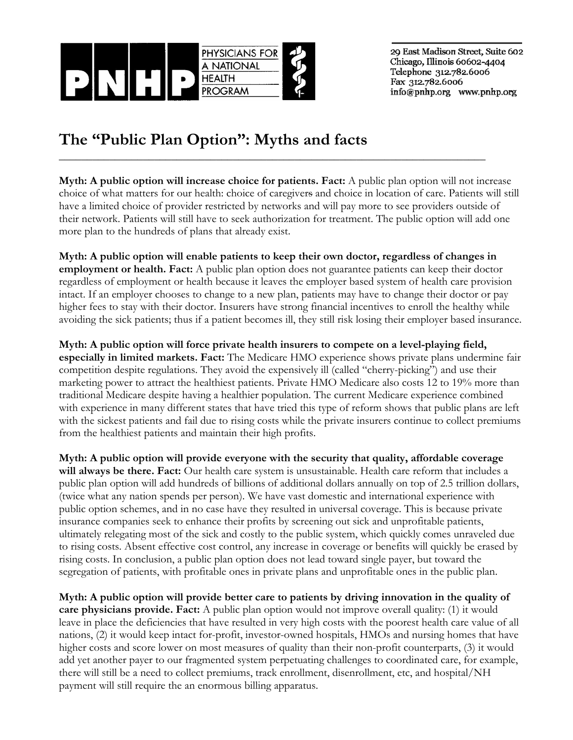

29 East Madison Street, Suite 602 Chicago, Illinois 60602-4404 Telephone 312.782.6006 Fax 312.782.6006 info@pnhp.org www.pnhp.org

## **The "Public Plan Option": Myths and facts**

**Myth: A public option will increase choice for patients. Fact:** A public plan option will not increase choice of what matters for our health: choice of caregivers and choice in location of care. Patients will still have a limited choice of provider restricted by networks and will pay more to see providers outside of their network. Patients will still have to seek authorization for treatment. The public option will add one more plan to the hundreds of plans that already exist.

\_\_\_\_\_\_\_\_\_\_\_\_\_\_\_\_\_\_\_\_\_\_\_\_\_\_\_\_\_\_\_\_\_\_\_\_\_\_\_\_\_\_\_\_\_\_\_\_\_\_\_\_\_\_\_\_\_\_\_\_\_\_\_\_\_\_\_\_\_\_\_\_\_\_\_\_

**Myth: A public option will enable patients to keep their own doctor, regardless of changes in employment or health. Fact:** A public plan option does not guarantee patients can keep their doctor regardless of employment or health because it leaves the employer based system of health care provision intact. If an employer chooses to change to a new plan, patients may have to change their doctor or pay higher fees to stay with their doctor. Insurers have strong financial incentives to enroll the healthy while avoiding the sick patients; thus if a patient becomes ill, they still risk losing their employer based insurance.

**Myth: A public option will force private health insurers to compete on a level-playing field, especially in limited markets. Fact:** The Medicare HMO experience shows private plans undermine fair competition despite regulations. They avoid the expensively ill (called "cherry-picking") and use their marketing power to attract the healthiest patients. Private HMO Medicare also costs 12 to 19% more than traditional Medicare despite having a healthier population. The current Medicare experience combined with experience in many different states that have tried this type of reform shows that public plans are left with the sickest patients and fail due to rising costs while the private insurers continue to collect premiums from the healthiest patients and maintain their high profits.

**Myth: A public option will provide everyone with the security that quality, affordable coverage will always be there. Fact:** Our health care system is unsustainable. Health care reform that includes a public plan option will add hundreds of billions of additional dollars annually on top of 2.5 trillion dollars, (twice what any nation spends per person). We have vast domestic and international experience with public option schemes, and in no case have they resulted in universal coverage. This is because private insurance companies seek to enhance their profits by screening out sick and unprofitable patients, ultimately relegating most of the sick and costly to the public system, which quickly comes unraveled due to rising costs. Absent effective cost control, any increase in coverage or benefits will quickly be erased by rising costs. In conclusion, a public plan option does not lead toward single payer, but toward the segregation of patients, with profitable ones in private plans and unprofitable ones in the public plan.

**Myth: A public option will provide better care to patients by driving innovation in the quality of care physicians provide. Fact:** A public plan option would not improve overall quality: (1) it would leave in place the deficiencies that have resulted in very high costs with the poorest health care value of all nations, (2) it would keep intact for-profit, investor-owned hospitals, HMOs and nursing homes that have higher costs and score lower on most measures of quality than their non-profit counterparts, (3) it would add yet another payer to our fragmented system perpetuating challenges to coordinated care, for example, there will still be a need to collect premiums, track enrollment, disenrollment, etc, and hospital/NH payment will still require the an enormous billing apparatus.